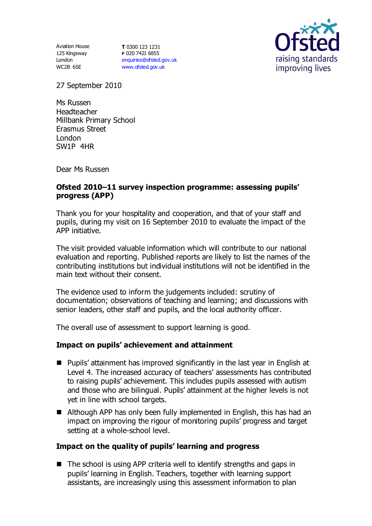Aviation House 125 Kingsway London WC2B 6SE

**T** 0300 123 1231 **F** 020 7421 6855 [enquiries@ofsted.gov.uk](mailto:enquiries@ofsted.gov.uk) [www.ofsted.gov.uk](http://www.ofsted.gov.uk/)



27 September 2010

Ms Russen Headteacher Millbank Primary School Erasmus Street London SW1P 4HR

Dear Ms Russen

## **Ofsted 2010–11 survey inspection programme: assessing pupils' progress (APP)**

Thank you for your hospitality and cooperation, and that of your staff and pupils, during my visit on 16 September 2010 to evaluate the impact of the APP initiative.

The visit provided valuable information which will contribute to our national evaluation and reporting. Published reports are likely to list the names of the contributing institutions but individual institutions will not be identified in the main text without their consent.

The evidence used to inform the judgements included: scrutiny of documentation; observations of teaching and learning; and discussions with senior leaders, other staff and pupils, and the local authority officer.

The overall use of assessment to support learning is good.

#### **Impact on pupils' achievement and attainment**

- Pupils' attainment has improved significantly in the last year in English at Level 4. The increased accuracy of teachers' assessments has contributed to raising pupils' achievement. This includes pupils assessed with autism and those who are bilingual. Pupils' attainment at the higher levels is not yet in line with school targets.
- Although APP has only been fully implemented in English, this has had an impact on improving the rigour of monitoring pupils' progress and target setting at a whole-school level.

# **Impact on the quality of pupils' learning and progress**

 $\blacksquare$  The school is using APP criteria well to identify strengths and gaps in pupils' learning in English. Teachers, together with learning support assistants, are increasingly using this assessment information to plan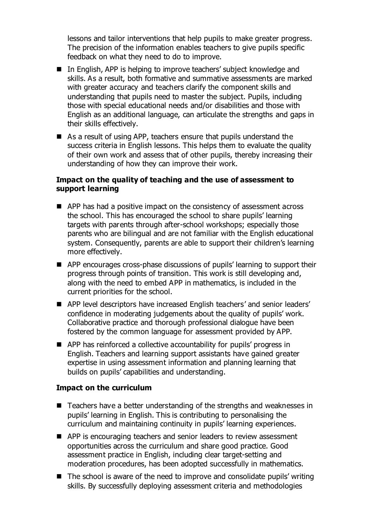lessons and tailor interventions that help pupils to make greater progress. The precision of the information enables teachers to give pupils specific feedback on what they need to do to improve.

- In English, APP is helping to improve teachers' subject knowledge and skills. As a result, both formative and summative assessments are marked with greater accuracy and teachers clarify the component skills and understanding that pupils need to master the subject. Pupils, including those with special educational needs and/or disabilities and those with English as an additional language, can articulate the strengths and gaps in their skills effectively.
- As a result of using APP, teachers ensure that pupils understand the success criteria in English lessons. This helps them to evaluate the quality of their own work and assess that of other pupils, thereby increasing their understanding of how they can improve their work.

### **Impact on the quality of teaching and the use of assessment to support learning**

- APP has had a positive impact on the consistency of assessment across the school. This has encouraged the school to share pupils' learning targets with parents through after-school workshops; especially those parents who are bilingual and are not familiar with the English educational system. Consequently, parents are able to support their children's learning more effectively.
- APP encourages cross-phase discussions of pupils' learning to support their progress through points of transition. This work is still developing and, along with the need to embed APP in mathematics, is included in the current priorities for the school.
- APP level descriptors have increased English teachers' and senior leaders' confidence in moderating judgements about the quality of pupils' work. Collaborative practice and thorough professional dialogue have been fostered by the common language for assessment provided by APP.
- APP has reinforced a collective accountability for pupils' progress in English. Teachers and learning support assistants have gained greater expertise in using assessment information and planning learning that builds on pupils' capabilities and understanding.

#### **Impact on the curriculum**

- Teachers have a better understanding of the strengths and weaknesses in pupils' learning in English. This is contributing to personalising the curriculum and maintaining continuity in pupils' learning experiences.
- APP is encouraging teachers and senior leaders to review assessment opportunities across the curriculum and share good practice. Good assessment practice in English, including clear target-setting and moderation procedures, has been adopted successfully in mathematics.
- $\blacksquare$  The school is aware of the need to improve and consolidate pupils' writing skills. By successfully deploying assessment criteria and methodologies